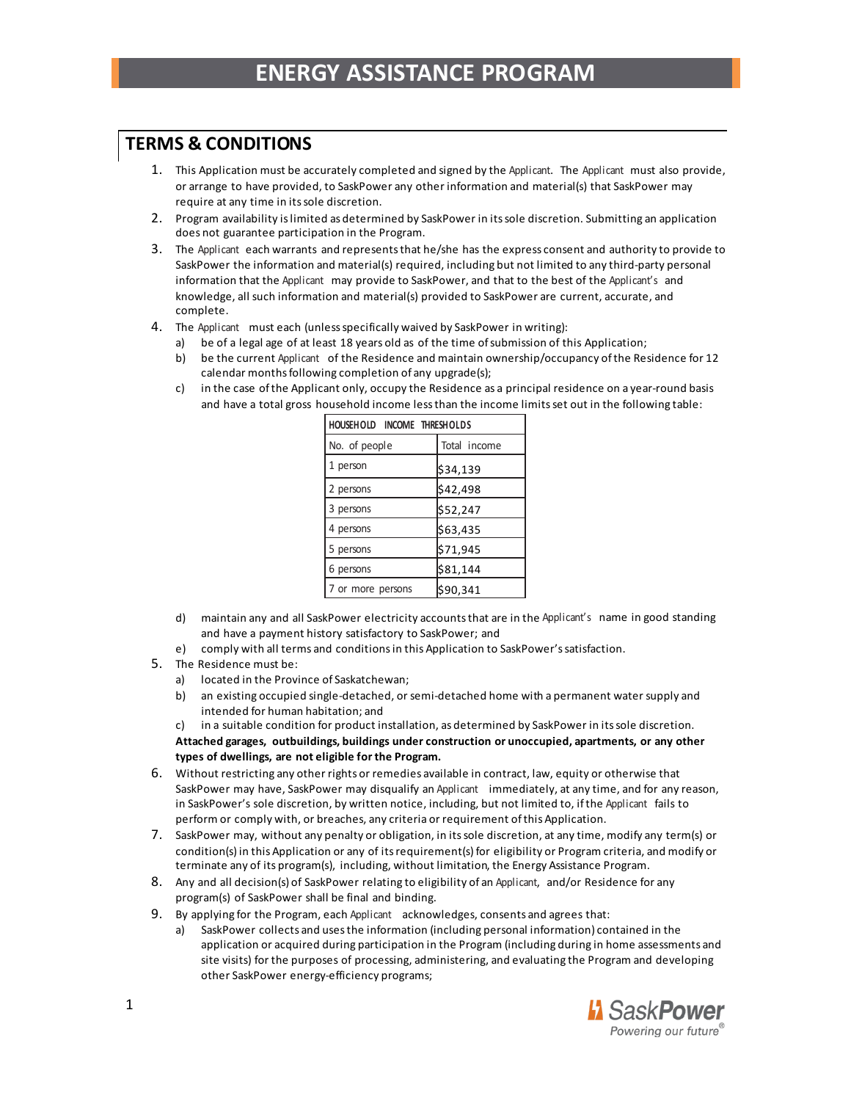## **TERMS & CONDITIONS**

- 1. This Application must be accurately completed and signed by the Applicant. The Applicant must also provide, or arrange to have provided, to SaskPower any other information and material(s) that SaskPower may require at any time in its sole discretion.
- 2. Program availability is limited as determined by SaskPower in its sole discretion. Submitting an application does not guarantee participation in the Program.
- 3. The Applicant each warrants and represents that he/she has the express consent and authority to provide to SaskPower the information and material(s) required, including but not limited to any third-party personal information that the Applicant may provide to SaskPower, and that to the best of the Applicant's and knowledge, all such information and material(s) provided to SaskPower are current, accurate, and complete.
- 4. The Applicant must each (unless specifically waived by SaskPower in writing):
	- a) be of a legal age of at least 18 years old as of the time of submission of this Application;
	- b) be the current Applicant of the Residence and maintain ownership/occupancy of the Residence for 12 calendar months following completion of any upgrade(s);
	- c) in the case of the Applicant only, occupy the Residence as a principal residence on a year-round basis and have a total gross household income less than the income limits set out in the following table:

| HOUSEHOLD INCOME THRESHOLDS |              |
|-----------------------------|--------------|
| No. of people               | Total income |
| 1 person                    | \$34,139     |
| 2 persons                   | \$42,498     |
| 3 persons                   | \$52,247     |
| 4 persons                   | \$63,435     |
| 5 persons                   | \$71,945     |
| 6 persons                   | \$81,144     |
| 7 or more persons           | \$90,341     |

- d) maintain any and all SaskPower electricity accounts that are in the Applicant's name in good standing and have a payment history satisfactory to SaskPower; and
- e) comply with all terms and conditions in this Application to SaskPower's satisfaction.
- 5. The Residence must be:
	- a) located in the Province of Saskatchewan;
	- b) an existing occupied single-detached, or semi-detached home with a permanent water supply and intended for human habitation; and

c) in a suitable condition for product installation, as determined by SaskPower in its sole discretion. **Attached garages, outbuildings, buildings under construction or unoccupied, apartments, or any other types of dwellings, are not eligible for the Program.**

- 6. Without restricting any other rights or remedies available in contract, law, equity or otherwise that SaskPower may have, SaskPower may disqualify an Applicant immediately, at any time, and for any reason, in SaskPower's sole discretion, by written notice, including, but not limited to, if the Applicant fails to perform or comply with, or breaches, any criteria or requirement of this Application.
- 7. SaskPower may, without any penalty or obligation, in its sole discretion, at any time, modify any term(s) or condition(s) in this Application or any of its requirement(s) for eligibility or Program criteria, and modify or terminate any of its program(s), including, without limitation, the Energy Assistance Program.
- 8. Any and all decision(s) of SaskPower relating to eligibility of an Applicant, and/or Residence for any program(s) of SaskPower shall be final and binding.
- 9. By applying for the Program, each Applicant acknowledges, consents and agrees that:
	- a) SaskPower collects and uses the information (including personal information) contained in the application or acquired during participation in the Program (including during in home assessments and site visits) for the purposes of processing, administering, and evaluating the Program and developing other SaskPower energy-efficiency programs;